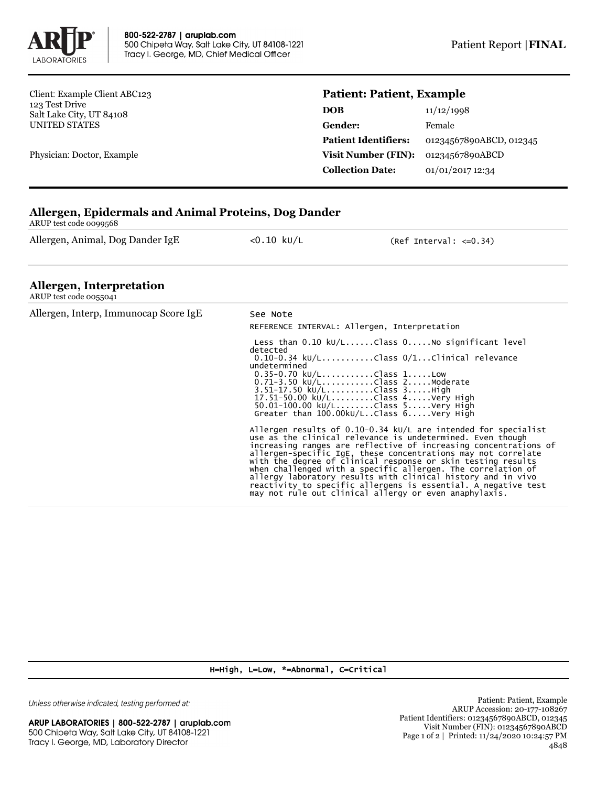

Client: Example Client ABC123 123 Test Drive Salt Lake City, UT 84108 UNITED STATES

Physician: Doctor, Example

## **Patient: Patient, Example**

| 11/12/1998              |
|-------------------------|
| Female                  |
| 01234567890ABCD, 012345 |
| 01234567890ABCD         |
| 01/01/2017 12:34        |
|                         |

## **Allergen, Epidermals and Animal Proteins, Dog Dander**

ARUP test code 0099568

Allergen, Animal, Dog Dander IgE <0.10 kU/L (Ref Interval: <= 0.34)

## **Allergen, Interpretation**

| ARUP test code 0055041                |                                                                                                                                                                                                                                                                                                                                                                                                                                                                                                                                                                                                                                                                                                                                                                                                                                                                                                                |
|---------------------------------------|----------------------------------------------------------------------------------------------------------------------------------------------------------------------------------------------------------------------------------------------------------------------------------------------------------------------------------------------------------------------------------------------------------------------------------------------------------------------------------------------------------------------------------------------------------------------------------------------------------------------------------------------------------------------------------------------------------------------------------------------------------------------------------------------------------------------------------------------------------------------------------------------------------------|
| Allergen, Interp, Immunocap Score IgE | See Note<br>REFERENCE INTERVAL: Allergen, Interpretation                                                                                                                                                                                                                                                                                                                                                                                                                                                                                                                                                                                                                                                                                                                                                                                                                                                       |
|                                       | Less than $0.10 \ \text{kU/L} \dots \dots \text{Class } 0 \dots \dots \text{No significant level}$<br>detected<br>$0.10-0.34$ kU/LClass $0/1$ Clinical relevance<br>undetermined<br>$0.35 - 0.70$ kU/LClass 1Low<br>0.71-3.50 ku/LClass 2Moderate<br>3.51-17.50 kU/LClass 3High<br>17.51-50.00 kU/LClass 4Very High<br>$50.01 - 100.00 \text{ kU/L}$ Class 5Very High<br>Greater than $100.00 \text{kU/L}$ Class $6. \ldots$ .Very High<br>Allergen results of $0.10-0.34$ kU/L are intended for specialist<br>use as the clinical relevance is undetermined. Even though<br>increasing ranges are reflective of increasing concentrations of<br>allergen-specific IgE, these concentrations may not correlate<br>with the degree of clinical response or skin testing results<br>when challenged with a specific allergen. The correlation of<br>allergy laboratory results with clinical history and in vivo |
|                                       | reactivity to specific allergens is essential. A negative test<br>may not rule out clinical allergy or even anaphylaxis.                                                                                                                                                                                                                                                                                                                                                                                                                                                                                                                                                                                                                                                                                                                                                                                       |

H=High, L=Low, \*=Abnormal, C=Critical

Unless otherwise indicated, testing performed at: